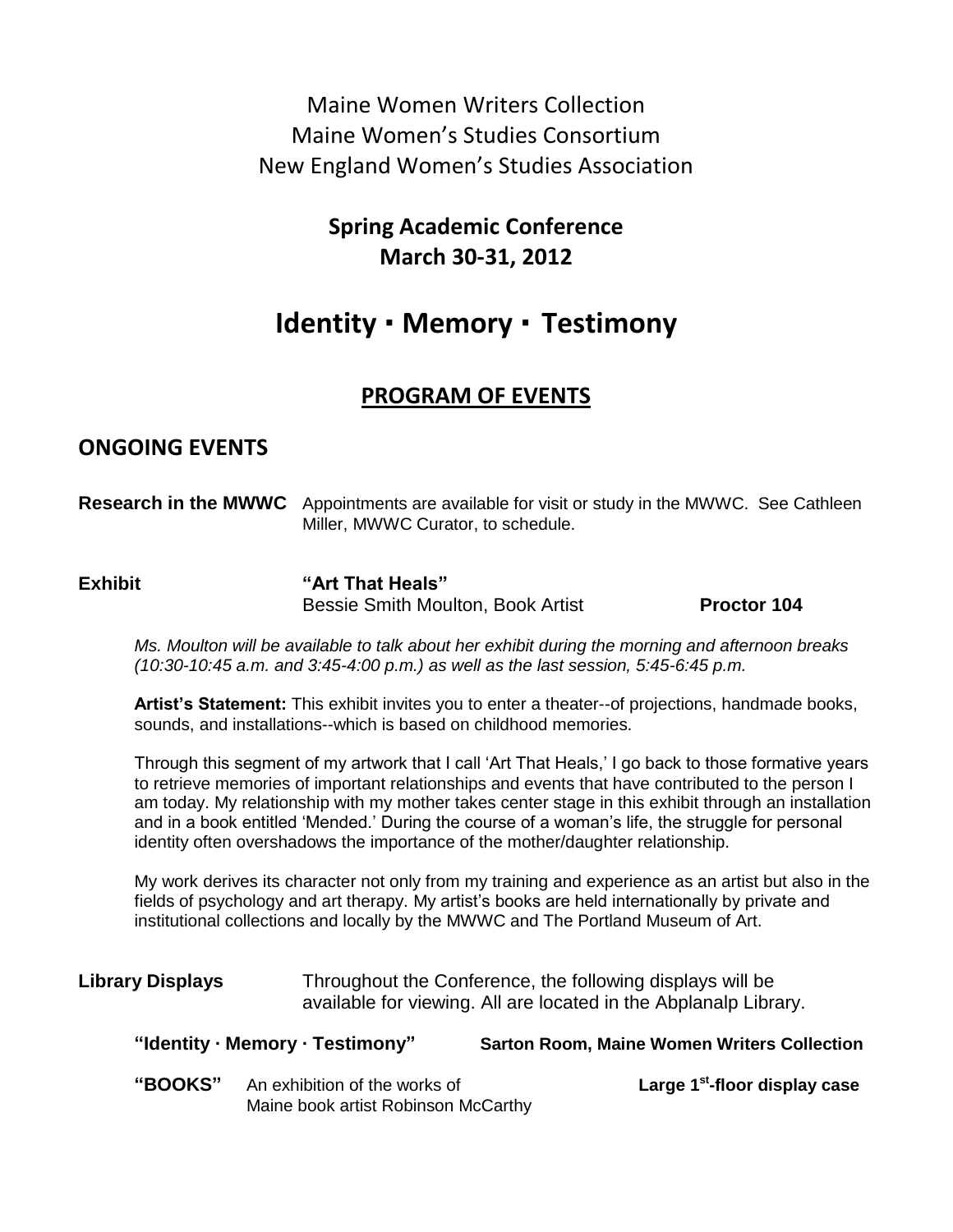Maine Women Writers Collection Maine Women's Studies Consortium New England Women's Studies Association

> **Spring Academic Conference March 30-31, 2012**

# **Identity · Memory · Testimony**

## **PROGRAM OF EVENTS**

## **ONGOING EVENTS**

| <b>Research in the MWWC</b> Appointments are available for visit or study in the MWWC. See Cathleen |  |
|-----------------------------------------------------------------------------------------------------|--|
| Miller, MWWC Curator, to schedule.                                                                  |  |

**Exhibit "Art That Heals"** Bessie Smith Moulton, Book Artist **Proctor 104**

*Ms. Moulton will be available to talk about her exhibit during the morning and afternoon breaks (10:30-10:45 a.m. and 3:45-4:00 p.m.) as well as the last session, 5:45-6:45 p.m.*

**Artist's Statement:** This exhibit invites you to enter a theater--of projections, handmade books, sounds, and installations--which is based on childhood memories.

Through this segment of my artwork that I call 'Art That Heals,' I go back to those formative years to retrieve memories of important relationships and events that have contributed to the person I am today. My relationship with my mother takes center stage in this exhibit through an installation and in a book entitled 'Mended.' During the course of a woman's life, the struggle for personal identity often overshadows the importance of the mother/daughter relationship.

My work derives its character not only from my training and experience as an artist but also in the fields of psychology and art therapy. My artist's books are held internationally by private and institutional collections and locally by the MWWC and The Portland Museum of Art.

| Library Displays | Throughout the Conference, the following displays will be        |  |
|------------------|------------------------------------------------------------------|--|
|                  | available for viewing. All are located in the Abplanalp Library. |  |

| "Identity · Memory · Testimony" | <b>Sarton Room, Maine Women Writers Collection</b> |
|---------------------------------|----------------------------------------------------|
|                                 |                                                    |

"**BOOKS**" An exhibition of the works of Maine book artist Robinson McCarthy Large 1<sup>st</sup>-floor display case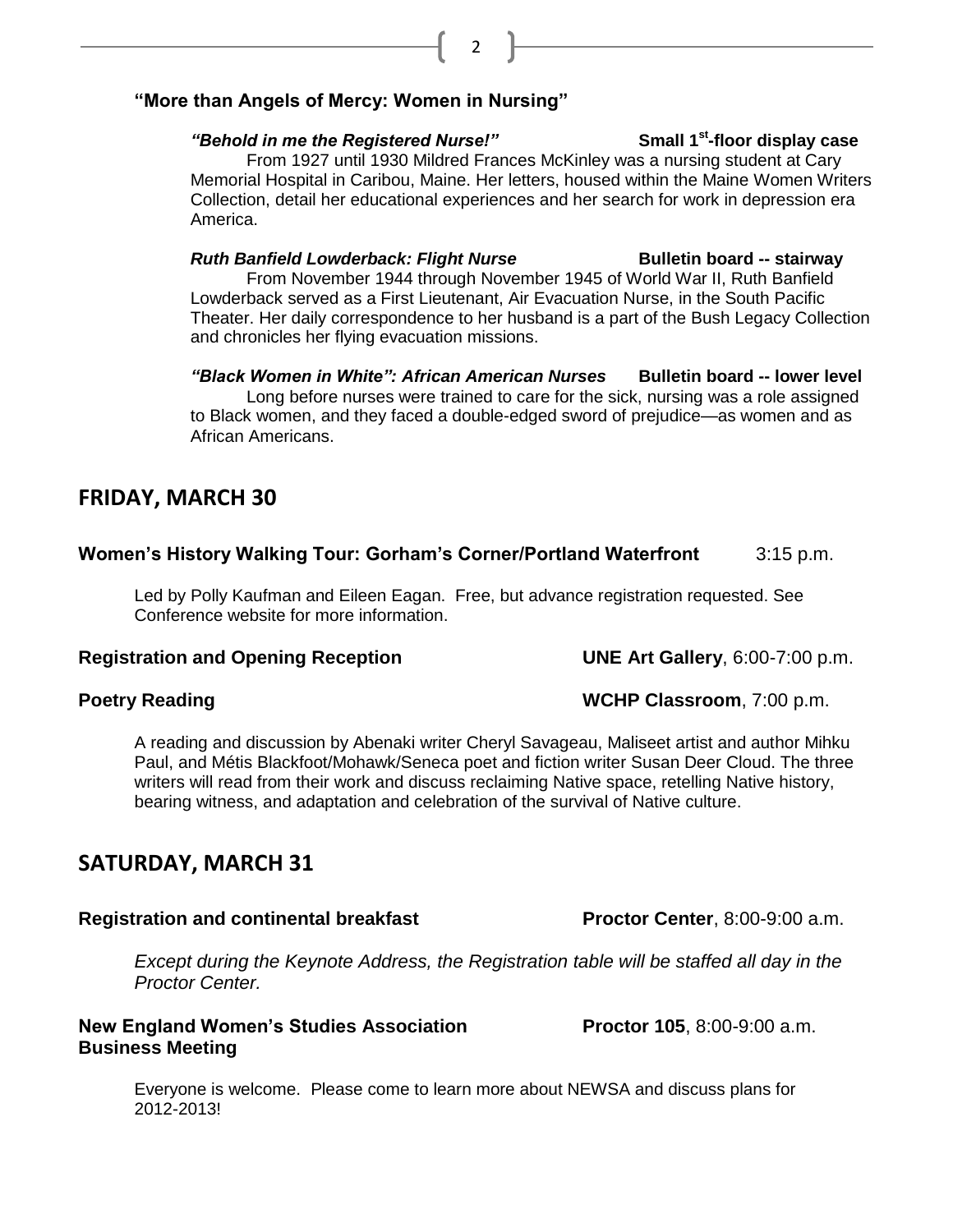## **"More than Angels of Mercy: Women in Nursing"**

### "Behold in me the Registered Nurse!"

From 1927 until 1930 Mildred Frances McKinley was a nursing student at Cary Memorial Hospital in Caribou, Maine. Her letters, housed within the Maine Women Writers Collection, detail her educational experiences and her search for work in depression era America.

### *Ruth Banfield Lowderback: Flight Nurse* **Bulletin board -- stairway**

From November 1944 through November 1945 of World War II, Ruth Banfield Lowderback served as a First Lieutenant, Air Evacuation Nurse, in the South Pacific Theater. Her daily correspondence to her husband is a part of the Bush Legacy Collection and chronicles her flying evacuation missions.

*"Black Women in White": African American Nurses* **Bulletin board -- lower level** Long before nurses were trained to care for the sick, nursing was a role assigned to Black women, and they faced a double-edged sword of prejudice—as women and as African Americans.

## **FRIDAY, MARCH 30**

## **Women's History Walking Tour: Gorham's Corner/Portland Waterfront** 3:15 p.m.

Led by Polly Kaufman and Eileen Eagan. Free, but advance registration requested. See Conference website for more information.

## **Registration and Opening Reception UNE Art Gallery**, 6:00-7:00 p.m.

A reading and discussion by Abenaki writer Cheryl Savageau, Maliseet artist and author Mihku Paul, and Métis Blackfoot/Mohawk/Seneca poet and fiction writer Susan Deer Cloud. The three writers will read from their work and discuss reclaiming Native space, retelling Native history, bearing witness, and adaptation and celebration of the survival of Native culture.

## **SATURDAY, MARCH 31**

## **Registration and continental breakfast Proctor Center, 8:00-9:00 a.m.**

*Except during the Keynote Address, the Registration table will be staffed all day in the Proctor Center.*

### **New England Women's Studies Association Proctor 105, 8:00-9:00 a.m. Business Meeting**

Everyone is welcome. Please come to learn more about NEWSA and discuss plans for 2012-2013!

**Small 1<sup>st</sup>-floor display case** 

**Poetry Reading Poetry Reading WCHP Classroom**, 7:00 p.m.

2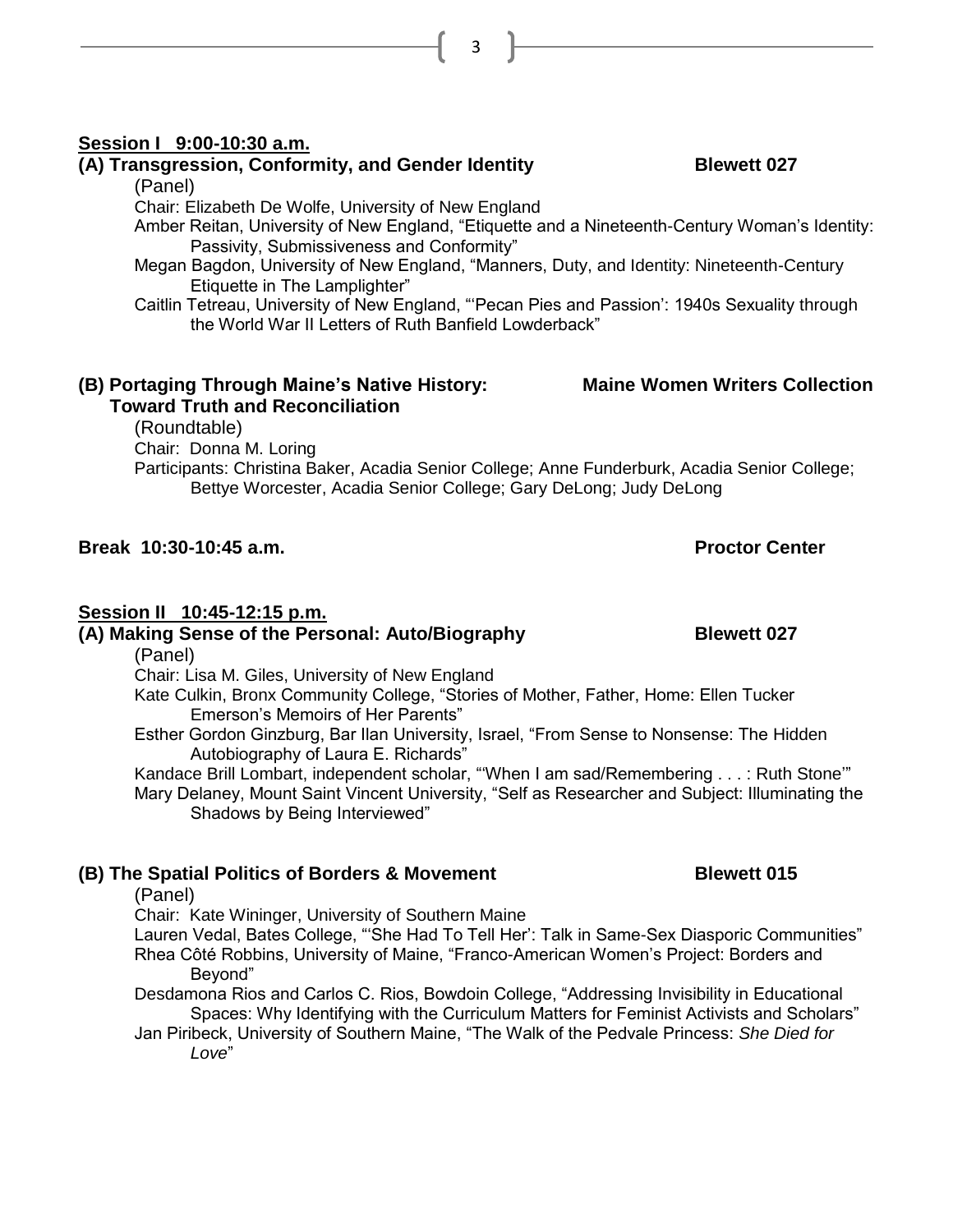#### **Session I 9:00-10:30 a.m.**

### **(A) Transgression, Conformity, and Gender Identity <b>Blewett 027**

(Panel)

Chair: Elizabeth De Wolfe, University of New England

- Amber Reitan, University of New England, "Etiquette and a Nineteenth-Century Woman's Identity: Passivity, Submissiveness and Conformity"
- Megan Bagdon, University of New England, "Manners, Duty, and Identity: Nineteenth-Century Etiquette in The Lamplighter"
- Caitlin Tetreau, University of New England, "'Pecan Pies and Passion': 1940s Sexuality through the World War II Letters of Ruth Banfield Lowderback"

## **(B) Portaging Through Maine's Native History: Maine Women Writers Collection**

### **Toward Truth and Reconciliation**

(Roundtable)

Chair: Donna M. Loring

Participants: Christina Baker, Acadia Senior College; Anne Funderburk, Acadia Senior College; Bettye Worcester, Acadia Senior College; Gary DeLong; Judy DeLong

### **Break 10:30-10:45 a.m. Proctor Center**

### **Session II 10:45-12:15 p.m.**

**(A) Making Sense of the Personal: Auto/Biography Blewett 027** 

(Panel)

Chair: Lisa M. Giles, University of New England

Kate Culkin, Bronx Community College, "Stories of Mother, Father, Home: Ellen Tucker Emerson's Memoirs of Her Parents"

Esther Gordon Ginzburg, Bar Ilan University, Israel, "From Sense to Nonsense: The Hidden Autobiography of Laura E. Richards"

Kandace Brill Lombart, independent scholar, "When I am sad/Remembering . . . : Ruth Stone" Mary Delaney, Mount Saint Vincent University, "Self as Researcher and Subject: Illuminating the Shadows by Being Interviewed"

### **(B) The Spatial Politics of Borders & Movement Blewett 015**

#### (Panel)

Chair: Kate Wininger, University of Southern Maine

Lauren Vedal, Bates College, "'She Had To Tell Her': Talk in Same-Sex Diasporic Communities" Rhea Côté Robbins, University of Maine, "Franco-American Women's Project: Borders and Beyond"

Desdamona Rios and Carlos C. Rios, Bowdoin College, "Addressing Invisibility in Educational Spaces: Why Identifying with the Curriculum Matters for Feminist Activists and Scholars"

Jan Piribeck, University of Southern Maine, "The Walk of the Pedvale Princess: *She Died for Love*"

3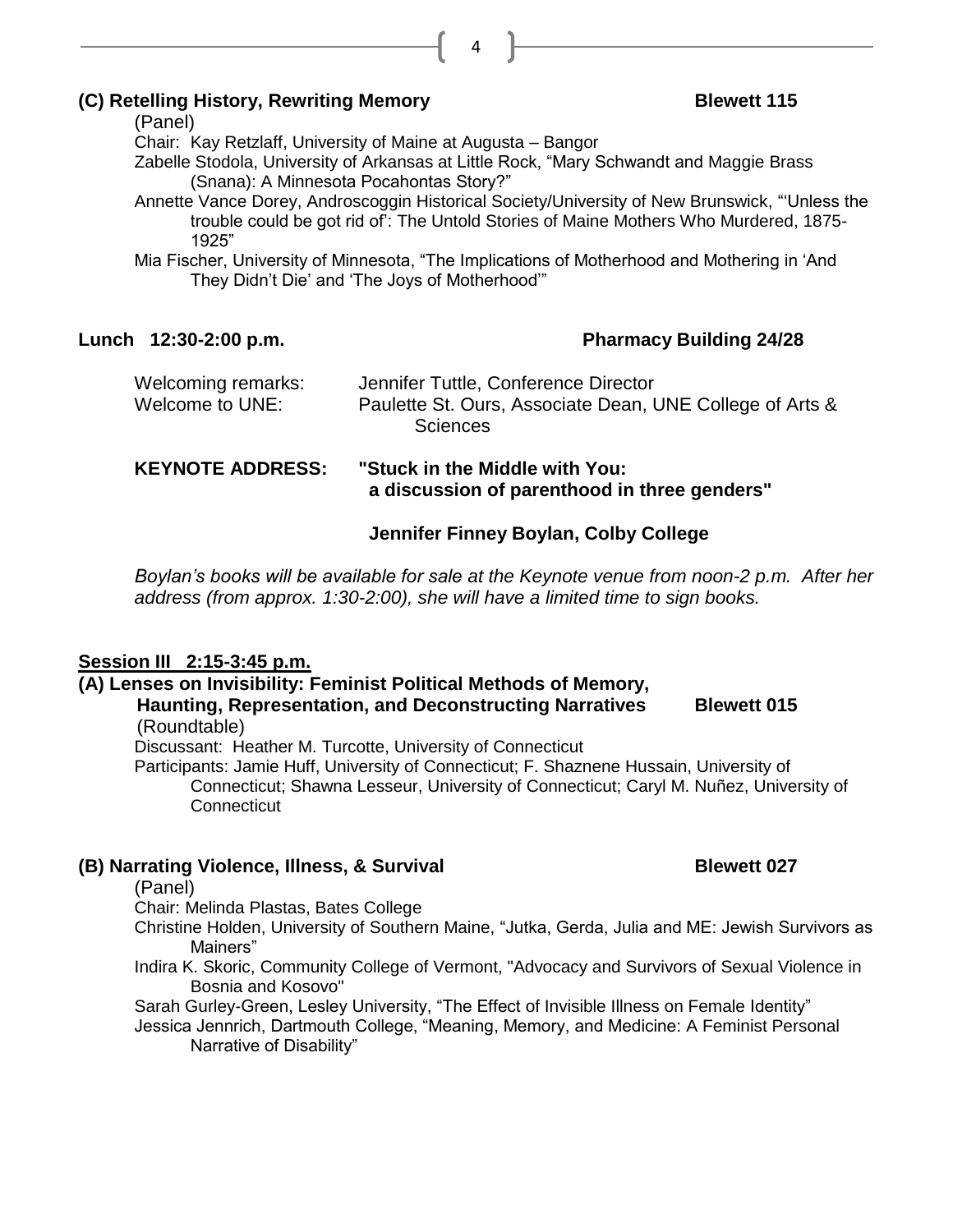### **(C)** Retelling History, Rewriting Memory **Blewett 115**

(Panel)

Chair: Kay Retzlaff, University of Maine at Augusta – Bangor

Zabelle Stodola, University of Arkansas at Little Rock, "Mary Schwandt and Maggie Brass (Snana): A Minnesota Pocahontas Story?"

4

Annette Vance Dorey, Androscoggin Historical Society/University of New Brunswick, "'Unless the trouble could be got rid of': The Untold Stories of Maine Mothers Who Murdered, 1875- 1925"

Mia Fischer, University of Minnesota, "The Implications of Motherhood and Mothering in 'And They Didn't Die' and 'The Joys of Motherhood'"

## **Lunch 12:30-2:00 p.m. Pharmacy Building 24/28**

#### **K** in the Middle with You:  **a discussion of parenthood in three genders"**

## **Jennifer Finney Boylan, Colby College**

*Boylan's books will be available for sale at the Keynote venue from noon-2 p.m. After her address (from approx. 1:30-2:00), she will have a limited time to sign books.*

## **Session III 2:15-3:45 p.m.**

## **(A) Lenses on Invisibility: Feminist Political Methods of Memory,**

#### **Haunting, Representation, and Deconstructing Narratives Blewett 015** (Roundtable)

Discussant: Heather M. Turcotte, University of Connecticut

Participants: Jamie Huff, University of Connecticut; F. Shaznene Hussain, University of Connecticut; Shawna Lesseur, University of Connecticut; Caryl M. Nuñez, University of **Connecticut** 

## **(B) Narrating Violence, Illness, & Survival Blewett 027**

(Panel)

Chair: Melinda Plastas, Bates College

- Christine Holden, University of Southern Maine, "Jutka, Gerda, Julia and ME: Jewish Survivors as Mainers"
- Indira K. Skoric, Community College of Vermont, "Advocacy and Survivors of Sexual Violence in Bosnia and Kosovo"

Sarah Gurley-Green, Lesley University, "The Effect of Invisible Illness on Female Identity"

Jessica Jennrich, Dartmouth College, "Meaning, Memory, and Medicine: A Feminist Personal Narrative of Disability"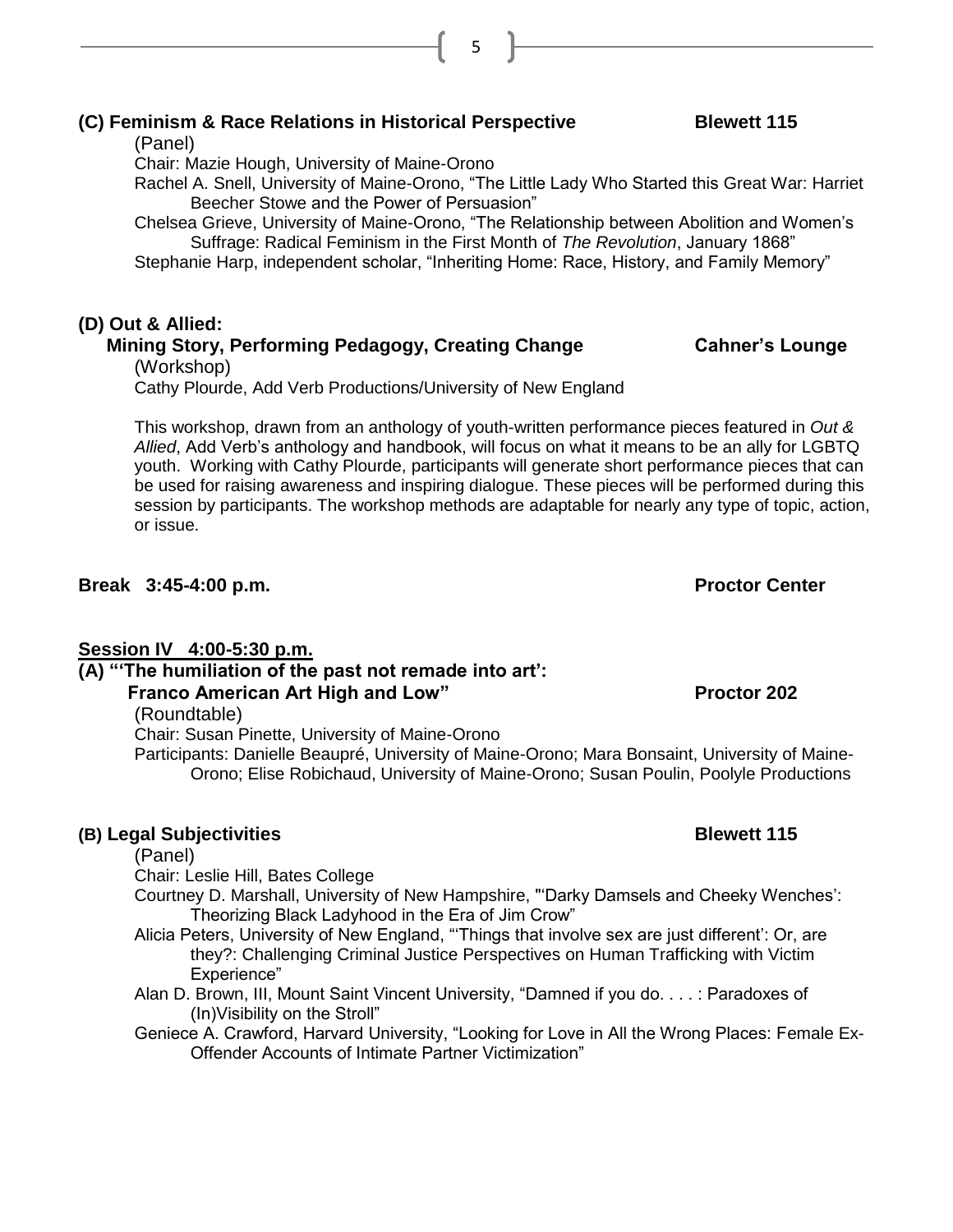## **(C) Feminism & Race Relations in Historical Perspective Blewett 115**

(Panel)

Chair: Mazie Hough, University of Maine-Orono

Rachel A. Snell, University of Maine-Orono, "The Little Lady Who Started this Great War: Harriet Beecher Stowe and the Power of Persuasion"

Chelsea Grieve, University of Maine-Orono, "The Relationship between Abolition and Women's Suffrage: Radical Feminism in the First Month of *The Revolution*, January 1868"

Stephanie Harp, independent scholar, "Inheriting Home: Race, History, and Family Memory"

5

## **(D) Out & Allied:**

## **Mining Story, Performing Pedagogy, Creating Change Cahner's Lounge**

(Workshop)

Cathy Plourde, Add Verb Productions/University of New England

This workshop, drawn from an anthology of youth-written performance pieces featured in *Out & Allied*, Add Verb's anthology and handbook, will focus on what it means to be an ally for LGBTQ youth. Working with Cathy Plourde, participants will generate short performance pieces that can be used for raising awareness and inspiring dialogue. These pieces will be performed during this session by participants. The workshop methods are adaptable for nearly any type of topic, action, or issue.

## **Break 3:45-4:00 p.m. Proctor Center**

## **Session IV 4:00-5:30 p.m.**

**(A) "'The humiliation of the past not remade into art':** 

## **Franco American Art High and Low" Proctor 202**

(Roundtable)

Chair: Susan Pinette, University of Maine-Orono

Participants: Danielle Beaupré, University of Maine-Orono; Mara Bonsaint, University of Maine-Orono; Elise Robichaud, University of Maine-Orono; Susan Poulin, Poolyle Productions

## **(B) Legal Subjectivities Blewett 115**

## (Panel)

Chair: Leslie Hill, Bates College

Courtney D. Marshall, University of New Hampshire, "'Darky Damsels and Cheeky Wenches': Theorizing Black Ladyhood in the Era of Jim Crow"

- Alicia Peters, University of New England, "'Things that involve sex are just different': Or, are they?: Challenging Criminal Justice Perspectives on Human Trafficking with Victim Experience"
- Alan D. Brown, III, Mount Saint Vincent University, "Damned if you do. . . . : Paradoxes of (In)Visibility on the Stroll"
- Geniece A. Crawford, Harvard University, "Looking for Love in All the Wrong Places: Female Ex-Offender Accounts of Intimate Partner Victimization"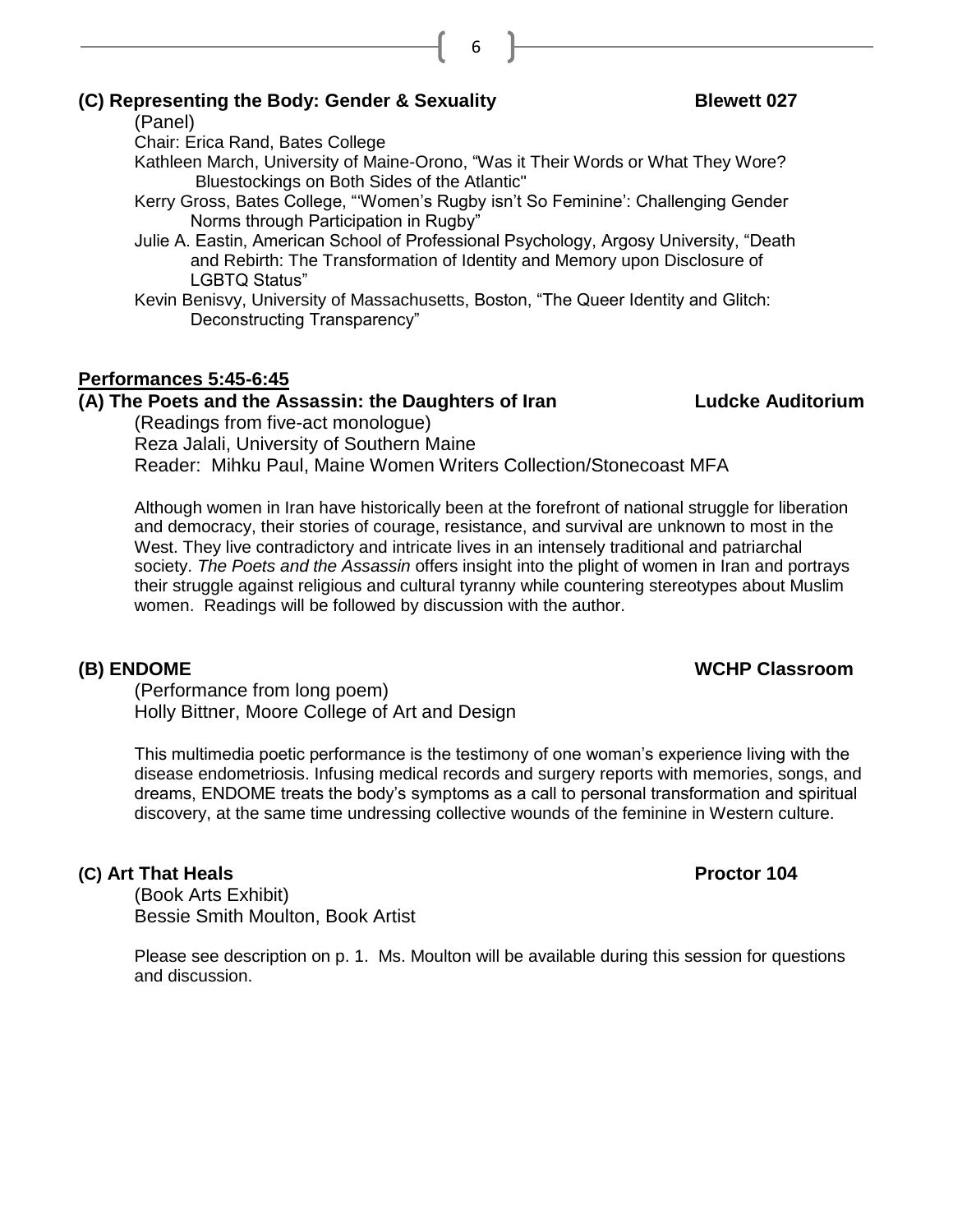## **(C) Representing the Body: Gender & Sexuality Blewett 027**

(Panel)

Chair: Erica Rand, Bates College

Kathleen March, University of Maine-Orono, "Was it Their Words or What They Wore? Bluestockings on Both Sides of the Atlantic"

6

- Kerry Gross, Bates College, "'Women's Rugby isn't So Feminine': Challenging Gender Norms through Participation in Rugby"
- Julie A. Eastin, American School of Professional Psychology, Argosy University, "Death and Rebirth: The Transformation of Identity and Memory upon Disclosure of LGBTQ Status"
- Kevin Benisvy, University of Massachusetts, Boston, "The Queer Identity and Glitch: Deconstructing Transparency"

## **Performances 5:45-6:45**

### **(A) The Poets and the Assassin: the Daughters of Iran Ludcke Auditorium**

(Readings from five-act monologue) Reza Jalali, University of Southern Maine Reader: Mihku Paul, Maine Women Writers Collection/Stonecoast MFA

Although women in Iran have historically been at the forefront of national struggle for liberation and democracy, their stories of courage, resistance, and survival are unknown to most in the West. They live contradictory and intricate lives in an intensely traditional and patriarchal society. *The Poets and the Assassin* offers insight into the plight of women in Iran and portrays their struggle against religious and cultural tyranny while countering stereotypes about Muslim women. Readings will be followed by discussion with the author.

(Performance from long poem) Holly Bittner, Moore College of Art and Design

This multimedia poetic performance is the testimony of one woman's experience living with the disease endometriosis. Infusing medical records and surgery reports with memories, songs, and dreams, ENDOME treats the body's symptoms as a call to personal transformation and spiritual discovery, at the same time undressing collective wounds of the feminine in Western culture.

## **(C)** Art That Heals **Proctor 104**

(Book Arts Exhibit) Bessie Smith Moulton, Book Artist

Please see description on p. 1. Ms. Moulton will be available during this session for questions and discussion.

#### **(B) ENDOME WCHP Classroom**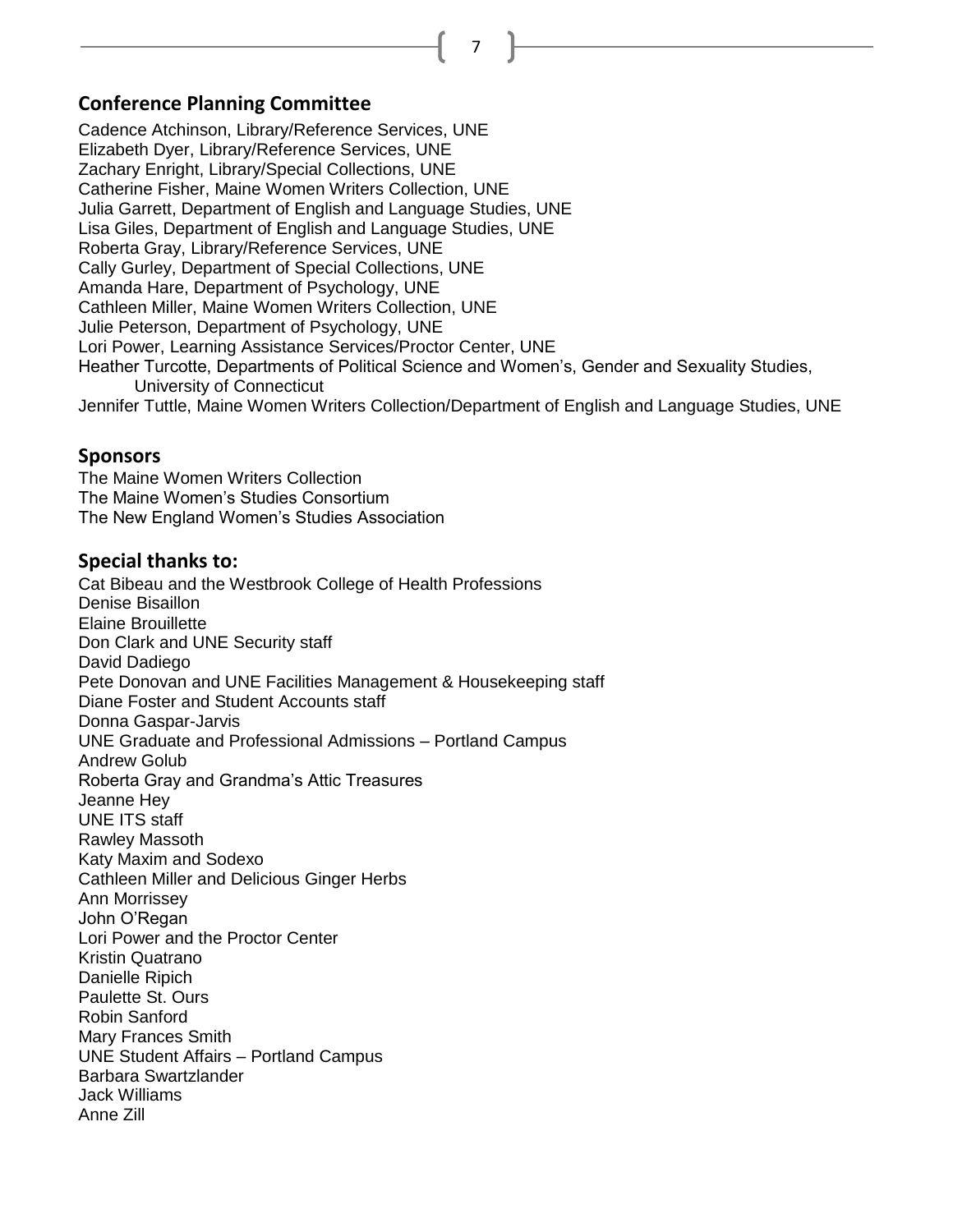7

#### **Conference Planning Committee**

Cadence Atchinson, Library/Reference Services, UNE Elizabeth Dyer, Library/Reference Services, UNE Zachary Enright, Library/Special Collections, UNE Catherine Fisher, Maine Women Writers Collection, UNE Julia Garrett, Department of English and Language Studies, UNE Lisa Giles, Department of English and Language Studies, UNE Roberta Gray, Library/Reference Services, UNE Cally Gurley, Department of Special Collections, UNE Amanda Hare, Department of Psychology, UNE Cathleen Miller, Maine Women Writers Collection, UNE Julie Peterson, Department of Psychology, UNE Lori Power, Learning Assistance Services/Proctor Center, UNE Heather Turcotte, Departments of Political Science and Women's, Gender and Sexuality Studies, University of Connecticut Jennifer Tuttle, Maine Women Writers Collection/Department of English and Language Studies, UNE

#### **Sponsors**

The Maine Women Writers Collection The Maine Women's Studies Consortium The New England Women's Studies Association

#### **Special thanks to:**

Cat Bibeau and the Westbrook College of Health Professions Denise Bisaillon Elaine Brouillette Don Clark and UNE Security staff David Dadiego Pete Donovan and UNE Facilities Management & Housekeeping staff Diane Foster and Student Accounts staff Donna Gaspar-Jarvis UNE Graduate and Professional Admissions – Portland Campus Andrew Golub Roberta Gray and Grandma's Attic Treasures Jeanne Hey UNE ITS staff Rawley Massoth Katy Maxim and Sodexo Cathleen Miller and Delicious Ginger Herbs Ann Morrissey John O'Regan Lori Power and the Proctor Center Kristin Quatrano Danielle Ripich Paulette St. Ours Robin Sanford Mary Frances Smith UNE Student Affairs – Portland Campus Barbara Swartzlander Jack Williams Anne Zill